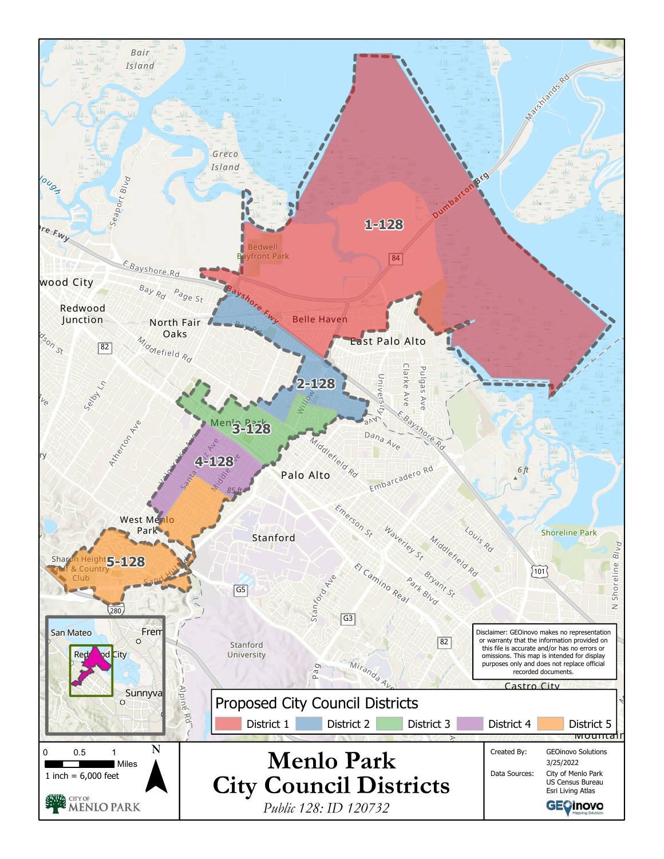